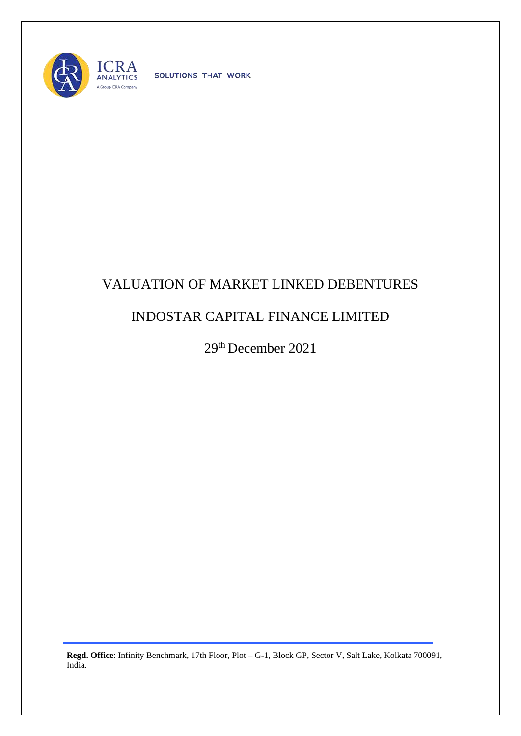

SOLUTIONS THAT WORK

## VALUATION OF MARKET LINKED DEBENTURES

## INDOSTAR CAPITAL FINANCE LIMITED

29th December 2021

**Regd. Office**: Infinity Benchmark, 17th Floor, Plot – G-1, Block GP, Sector V, Salt Lake, Kolkata 700091, India.